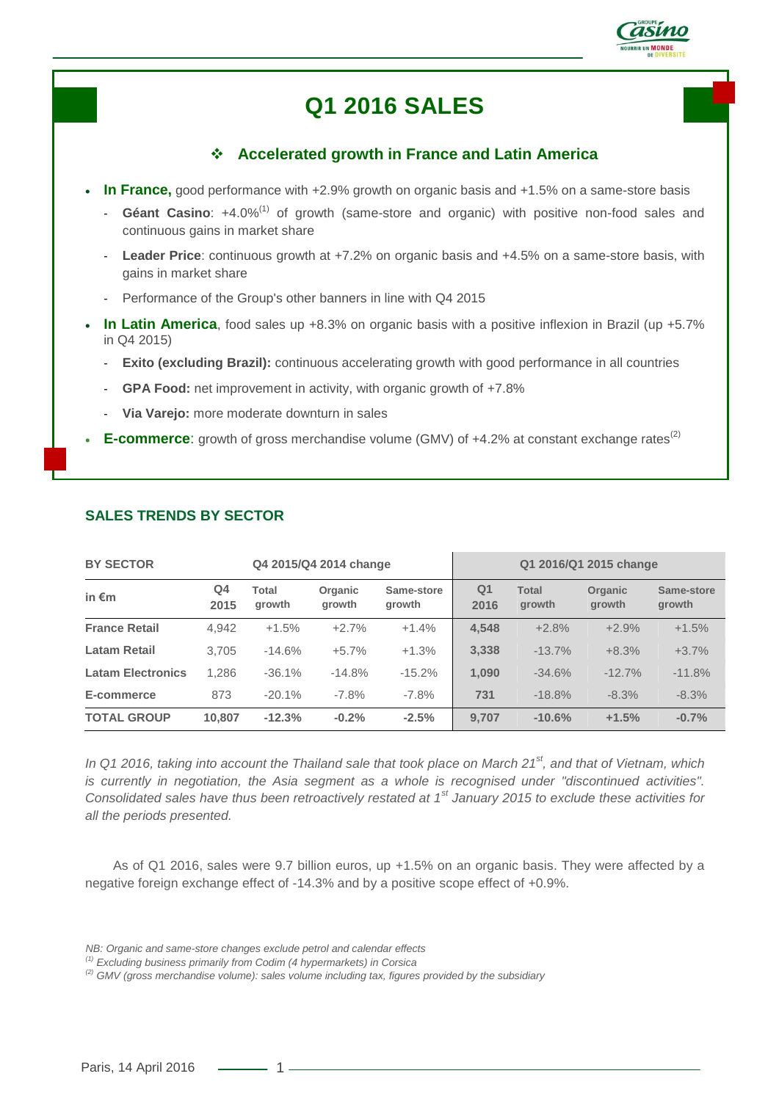

# **Q1 2016 SALES**

# **Accelerated growth in France and Latin America**

- **In France,** good performance with +2.9% growth on organic basis and +1.5% on a same-store basis
	- **Géant Casino**: +4.0%(1) of growth (same-store and organic) with positive non-food sales and continuous gains in market share
	- Leader Price: continuous growth at +7.2% on organic basis and +4.5% on a same-store basis, with gains in market share
	- Performance of the Group's other banners in line with Q4 2015
- **In Latin America**, food sales up +8.3% on organic basis with a positive inflexion in Brazil (up +5.7% in Q4 2015)
	- **Exito (excluding Brazil):** continuous accelerating growth with good performance in all countries
	- GPA Food: net improvement in activity, with organic growth of +7.8%
	- **Via Varejo:** more moderate downturn in sales
- **E-commerce:** growth of gross merchandise volume (GMV) of +4.2% at constant exchange rates<sup>(2)</sup>

| <b>BY SECTOR</b><br>Q4 2015/Q4 2014 change |            |                 |                   | Q1 2016/Q1 2015 change |            |                        |                   |                      |
|--------------------------------------------|------------|-----------------|-------------------|------------------------|------------|------------------------|-------------------|----------------------|
| in $\epsilon$ m                            | Q4<br>2015 | Total<br>arowth | Organic<br>growth | Same-store<br>arowth   | Q1<br>2016 | <b>Total</b><br>growth | Organic<br>growth | Same-store<br>growth |
| <b>France Retail</b>                       | 4.942      | $+1.5%$         | $+2.7%$           | $+1.4%$                | 4,548      | $+2.8%$                | $+2.9%$           | $+1.5%$              |
| Latam Retail                               | 3.705      | $-14.6%$        | $+5.7%$           | $+1.3%$                | 3,338      | $-13.7%$               | $+8.3%$           | $+3.7%$              |
| <b>Latam Electronics</b>                   | 1.286      | $-36.1%$        | $-14.8%$          | $-15.2%$               | 1.090      | $-34.6%$               | $-12.7%$          | $-11.8%$             |
| E-commerce                                 | 873        | $-20.1%$        | $-7.8%$           | $-7.8\%$               | 731        | $-18.8%$               | $-8.3%$           | $-8.3%$              |
| <b>TOTAL GROUP</b>                         | 10.807     | $-12.3%$        | $-0.2%$           | $-2.5%$                | 9.707      | $-10.6%$               | $+1.5%$           | $-0.7%$              |

## **SALES TRENDS BY SECTOR**

*In Q1 2016, taking into account the Thailand sale that took place on March 21st, and that of Vietnam, which is currently in negotiation, the Asia segment as a whole is recognised under "discontinued activities". Consolidated sales have thus been retroactively restated at 1st January 2015 to exclude these activities for all the periods presented.*

As of Q1 2016, sales were 9.7 billion euros, up +1.5% on an organic basis. They were affected by a negative foreign exchange effect of -14.3% and by a positive scope effect of +0.9%.

*NB: Organic and same-store changes exclude petrol and calendar effects*

*<sup>(1)</sup> Excluding business primarily from Codim (4 hypermarkets) in Corsica*

*<sup>(2)</sup> GMV (gross merchandise volume): sales volume including tax, figures provided by the subsidiary*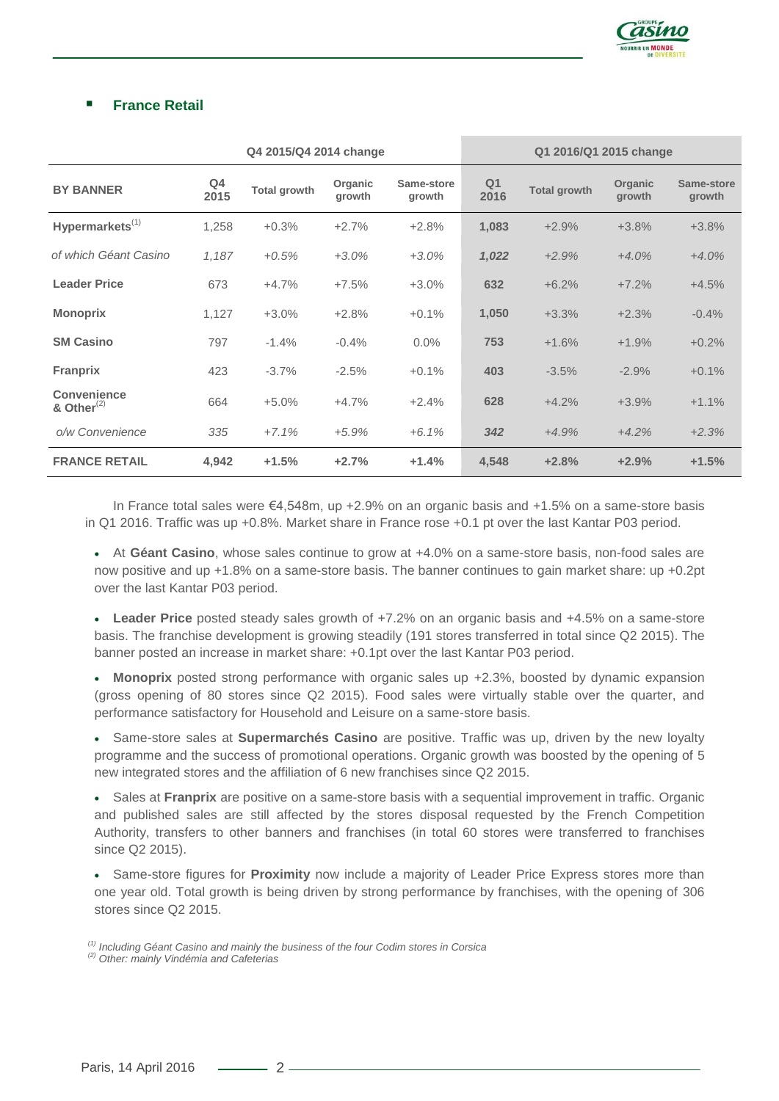

## **France Retail**

|                                     | Q4 2015/Q4 2014 change |                     |                   |                      | Q1 2016/Q1 2015 change |                     |                   |                      |
|-------------------------------------|------------------------|---------------------|-------------------|----------------------|------------------------|---------------------|-------------------|----------------------|
| <b>BY BANNER</b>                    | Q4<br>2015             | <b>Total growth</b> | Organic<br>growth | Same-store<br>growth | Q <sub>1</sub><br>2016 | <b>Total growth</b> | Organic<br>growth | Same-store<br>growth |
| Hypermarkets <sup>(1)</sup>         | 1,258                  | $+0.3%$             | $+2.7%$           | $+2.8%$              | 1,083                  | $+2.9%$             | $+3.8%$           | $+3.8%$              |
| of which Géant Casino               | 1,187                  | $+0.5%$             | $+3.0%$           | $+3.0%$              | 1,022                  | $+2.9%$             | $+4.0%$           | $+4.0%$              |
| <b>Leader Price</b>                 | 673                    | $+4.7%$             | $+7.5%$           | $+3.0%$              | 632                    | $+6.2%$             | $+7.2%$           | $+4.5%$              |
| <b>Monoprix</b>                     | 1,127                  | $+3.0%$             | $+2.8%$           | $+0.1%$              | 1,050                  | $+3.3%$             | $+2.3%$           | $-0.4%$              |
| <b>SM Casino</b>                    | 797                    | $-1.4%$             | $-0.4%$           | $0.0\%$              | 753                    | $+1.6%$             | $+1.9%$           | $+0.2%$              |
| Franprix                            | 423                    | $-3.7%$             | $-2.5%$           | $+0.1%$              | 403                    | $-3.5%$             | $-2.9%$           | $+0.1%$              |
| <b>Convenience</b><br>& Other $(2)$ | 664                    | $+5.0%$             | $+4.7%$           | $+2.4%$              | 628                    | $+4.2%$             | $+3.9%$           | $+1.1%$              |
| o/w Convenience                     | 335                    | $+7.1%$             | $+5.9%$           | $+6.1%$              | 342                    | $+4.9%$             | $+4.2%$           | $+2.3%$              |
| <b>FRANCE RETAIL</b>                | 4,942                  | $+1.5%$             | $+2.7%$           | $+1.4%$              | 4,548                  | $+2.8%$             | $+2.9%$           | $+1.5%$              |

In France total sales were €4,548m, up +2.9% on an organic basis and +1.5% on a same-store basis in Q1 2016. Traffic was up +0.8%. Market share in France rose +0.1 pt over the last Kantar P03 period.

 At **Géant Casino**, whose sales continue to grow at +4.0% on a same-store basis, non-food sales are now positive and up +1.8% on a same-store basis. The banner continues to gain market share: up +0.2pt over the last Kantar P03 period.

 **Leader Price** posted steady sales growth of +7.2% on an organic basis and +4.5% on a same-store basis. The franchise development is growing steadily (191 stores transferred in total since Q2 2015). The banner posted an increase in market share: +0.1pt over the last Kantar P03 period.

 **Monoprix** posted strong performance with organic sales up +2.3%, boosted by dynamic expansion (gross opening of 80 stores since Q2 2015). Food sales were virtually stable over the quarter, and performance satisfactory for Household and Leisure on a same-store basis.

 Same-store sales at **Supermarchés Casino** are positive. Traffic was up, driven by the new loyalty programme and the success of promotional operations. Organic growth was boosted by the opening of 5 new integrated stores and the affiliation of 6 new franchises since Q2 2015.

 Sales at **Franprix** are positive on a same-store basis with a sequential improvement in traffic. Organic and published sales are still affected by the stores disposal requested by the French Competition Authority, transfers to other banners and franchises (in total 60 stores were transferred to franchises since Q2 2015).

 Same-store figures for **Proximity** now include a majority of Leader Price Express stores more than one year old. Total growth is being driven by strong performance by franchises, with the opening of 306 stores since Q2 2015.

*(1) Including Géant Casino and mainly the business of the four Codim stores in Corsica*

*(2) Other: mainly Vindémia and Cafeterias*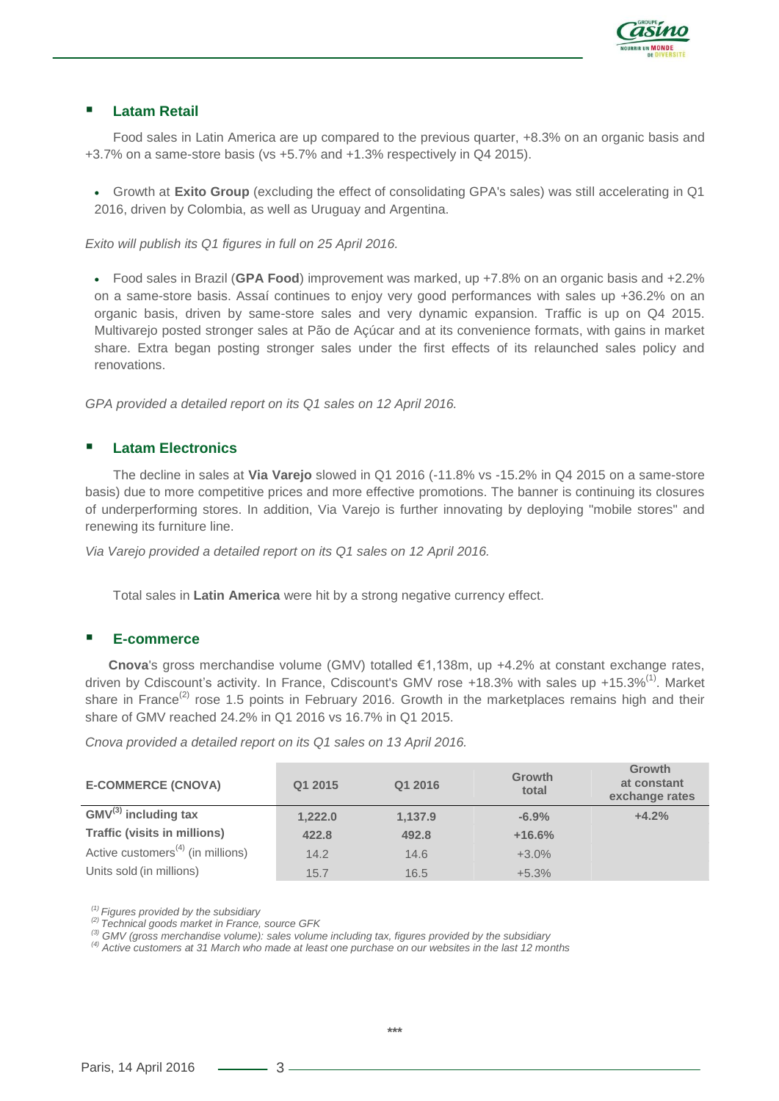

#### **Latam Retail**

Food sales in Latin America are up compared to the previous quarter, +8.3% on an organic basis and +3.7% on a same-store basis (vs +5.7% and +1.3% respectively in Q4 2015).

 Growth at **Exito Group** (excluding the effect of consolidating GPA's sales) was still accelerating in Q1 2016, driven by Colombia, as well as Uruguay and Argentina.

*Exito will publish its Q1 figures in full on 25 April 2016.*

 Food sales in Brazil (**GPA Food**) improvement was marked, up +7.8% on an organic basis and +2.2% on a same-store basis. Assaí continues to enjoy very good performances with sales up +36.2% on an organic basis, driven by same-store sales and very dynamic expansion. Traffic is up on Q4 2015. Multivarejo posted stronger sales at Pão de Açúcar and at its convenience formats, with gains in market share. Extra began posting stronger sales under the first effects of its relaunched sales policy and renovations.

*GPA provided a detailed report on its Q1 sales on 12 April 2016.*

#### **Latam Electronics**

The decline in sales at **Via Varejo** slowed in Q1 2016 (-11.8% vs -15.2% in Q4 2015 on a same-store basis) due to more competitive prices and more effective promotions. The banner is continuing its closures of underperforming stores. In addition, Via Varejo is further innovating by deploying "mobile stores" and renewing its furniture line.

*Via Varejo provided a detailed report on its Q1 sales on 12 April 2016.*

Total sales in **Latin America** were hit by a strong negative currency effect.

#### **E-commerce**

**Cnova**'s gross merchandise volume (GMV) totalled €1,138m, up +4.2% at constant exchange rates, driven by Cdiscount's activity. In France, Cdiscount's GMV rose +18.3% with sales up +15.3%<sup>(1)</sup>. Market share in France<sup>(2)</sup> rose 1.5 points in February 2016. Growth in the marketplaces remains high and their share of GMV reached 24.2% in Q1 2016 vs 16.7% in Q1 2015.

*Cnova provided a detailed report on its Q1 sales on 13 April 2016.*

| <b>E-COMMERCE (CNOVA)</b>                     | Q1 2015 | Q1 2016 | <b>Growth</b><br>total | Growth<br>at constant<br>exchange rates |
|-----------------------------------------------|---------|---------|------------------------|-----------------------------------------|
| $GMV^{(3)}$ including tax                     | 1,222.0 | 1,137.9 | $-6.9%$                | $+4.2%$                                 |
| <b>Traffic (visits in millions)</b>           | 422.8   | 492.8   | $+16.6%$               |                                         |
| Active customers <sup>(4)</sup> (in millions) | 14.2    | 14.6    | $+3.0%$                |                                         |
| Units sold (in millions)                      | 15.7    | 16.5    | $+5.3%$                |                                         |

*(1) Figures provided by the subsidiary*

*(2) Technical goods market in France, source GFK*

*(3) GMV (gross merchandise volume): sales volume including tax, figures provided by the subsidiary*

*(4) Active customers at 31 March who made at least one purchase on our websites in the last 12 months*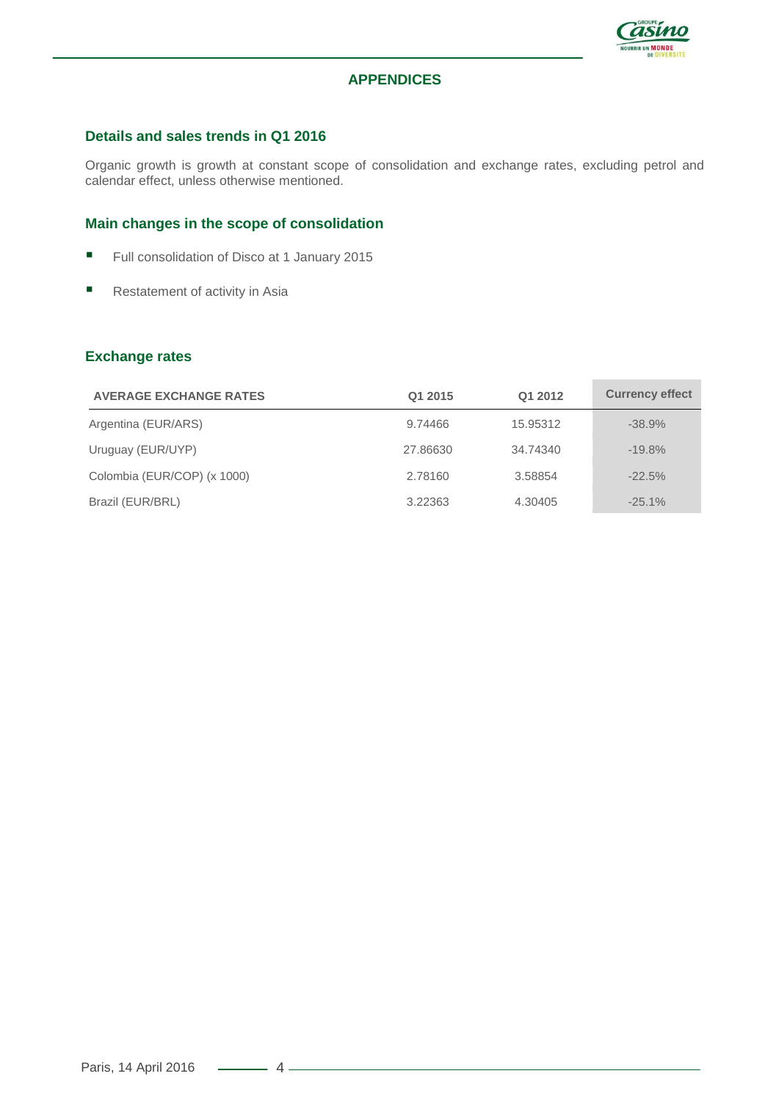

## **APPENDICES**

#### **Details and sales trends in Q1 2016**

Organic growth is growth at constant scope of consolidation and exchange rates, excluding petrol and calendar effect, unless otherwise mentioned.

#### **Main changes in the scope of consolidation**

- Full consolidation of Disco at 1 January 2015
- Restatement of activity in Asia

#### **Exchange rates**

| <b>AVERAGE EXCHANGE RATES</b> | Q1 2015  | Q1 2012  | <b>Currency effect</b> |
|-------------------------------|----------|----------|------------------------|
| Argentina (EUR/ARS)           | 9.74466  | 15.95312 | $-38.9%$               |
| Uruguay (EUR/UYP)             | 27.86630 | 34.74340 | $-19.8%$               |
| Colombia (EUR/COP) (x 1000)   | 2.78160  | 3.58854  | $-22.5%$               |
| Brazil (EUR/BRL)              | 3.22363  | 4.30405  | $-25.1\%$              |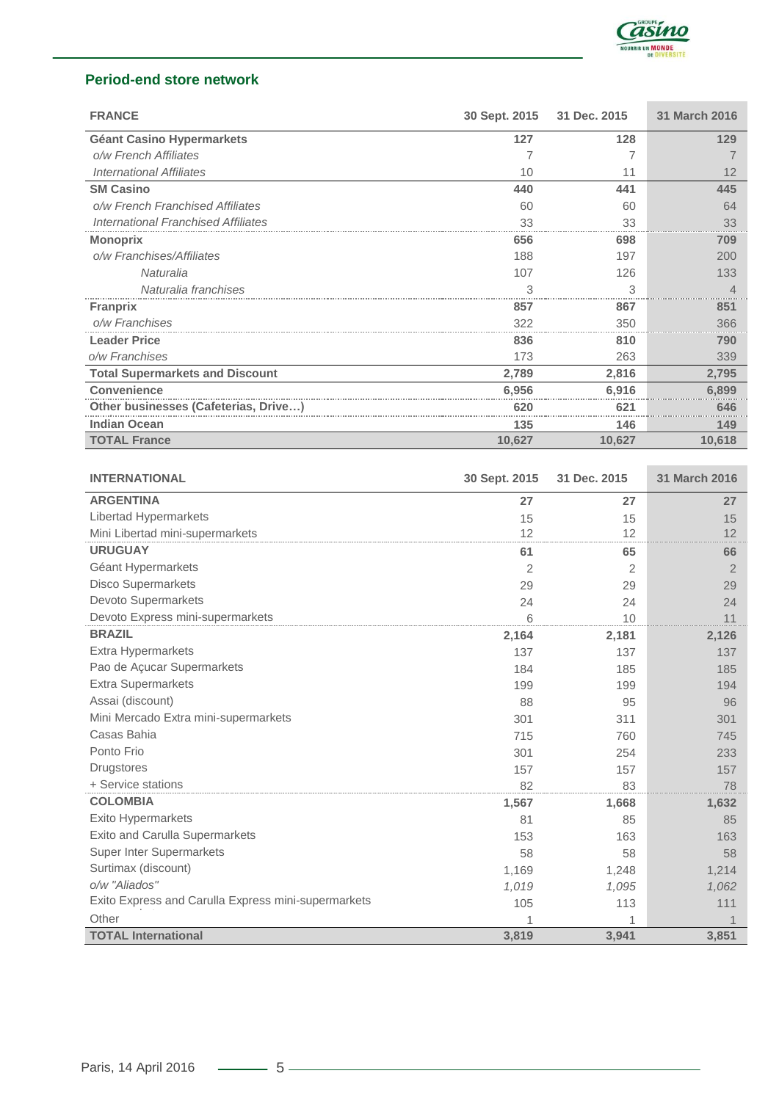

# **Period-end store network**

| <b>FRANCE</b>                              | 30 Sept. 2015  | 31 Dec. 2015 | 31 March 2016         |
|--------------------------------------------|----------------|--------------|-----------------------|
| <b>Géant Casino Hypermarkets</b>           | 127            | 128          | 129                   |
| o/w French Affiliates                      | 7              | 7            | $\overline{7}$        |
| <b>International Affiliates</b>            | 10             | 11           | 12                    |
| <b>SM Casino</b>                           | 440            | 441          | 445                   |
| o/w French Franchised Affiliates           | 60             | 60           | 64                    |
| <b>International Franchised Affiliates</b> | 33             | 33           | 33                    |
| <b>Monoprix</b>                            | 656            | 698          | 709                   |
| o/w Franchises/Affiliates                  | 188            | 197          | 200                   |
| Naturalia                                  | 107            | 126          | 133                   |
| Naturalia franchises                       | 3              | 3            | $\overline{4}$        |
| <b>Franprix</b>                            | 857            | 867          | 851                   |
| o/w Franchises                             | 322            | 350          | 366                   |
| <b>Leader Price</b>                        | 836            | 810          | 790                   |
| o/w Franchises                             | 173            | 263          | 339                   |
| <b>Total Supermarkets and Discount</b>     | 2,789          | 2,816        | 2,795                 |
| <b>Convenience</b>                         | 6,956          | 6,916        | 6,899                 |
| Other businesses (Cafeterias, Drive)       | 620            | 621          | 646                   |
| <b>Indian Ocean</b>                        | 135            | 146          | 149                   |
| <b>TOTAL France</b>                        | 10,627         | 10,627       | 10,618                |
|                                            |                |              |                       |
| <b>INTERNATIONAL</b>                       | 30 Sept. 2015  | 31 Dec. 2015 | 31 March 2016         |
| <b>ARGENTINA</b>                           | 27             | 27           | 27                    |
| Libertad Hypermarkets                      | 15             | 15           | 15                    |
| Mini Libertad mini-supermarkets            | 12             | 12           | 12                    |
| <b>URUGUAY</b>                             | 61             | 65           | 66                    |
| Géant Hypermarkets                         | $\overline{2}$ | 2            | $\overline{2}$        |
| <b>Disco Supermarkets</b>                  | 29             | 29           | 29                    |
| Devoto Supermarkets                        | 24             | 24           | 24                    |
| Devoto Express mini-supermarkets           | 6              | 10           | 11                    |
| <b>BRAZIL</b>                              | 2,164          | 2,181        | 2,126                 |
| Extra Hypermarkets                         | 137            | 137          | 137                   |
| Dan de Acucar Supermarkete                 | $A \cap A$     | 4.0F         | $A$ $\Omega$ $\Gamma$ |

| Devolo Express mini-supermancels                    | 6     | 10    | 11    |
|-----------------------------------------------------|-------|-------|-------|
| <b>BRAZIL</b>                                       | 2,164 | 2,181 | 2,126 |
| Extra Hypermarkets                                  | 137   | 137   | 137   |
| Pao de Açucar Supermarkets                          | 184   | 185   | 185   |
| Extra Supermarkets                                  | 199   | 199   | 194   |
| Assai (discount)                                    | 88    | 95    | 96    |
| Mini Mercado Extra mini-supermarkets                | 301   | 311   | 301   |
| Casas Bahia                                         | 715   | 760   | 745   |
| Ponto Frio                                          | 301   | 254   | 233   |
| Drugstores                                          | 157   | 157   | 157   |
| + Service stations                                  | 82    | 83    | 78    |
| <b>COLOMBIA</b>                                     | 1,567 | 1,668 | 1,632 |
| <b>Exito Hypermarkets</b>                           | 81    | 85    | 85    |
| <b>Exito and Carulla Supermarkets</b>               | 153   | 163   | 163   |
| <b>Super Inter Supermarkets</b>                     | 58    | 58    | 58    |
| Surtimax (discount)                                 | 1,169 | 1,248 | 1,214 |
| o/w "Aliados"                                       | 1,019 | 1,095 | 1,062 |
| Exito Express and Carulla Express mini-supermarkets | 105   | 113   | 111   |
| Other                                               |       |       |       |
| <b>TOTAL International</b>                          | 3,819 | 3,941 | 3,851 |